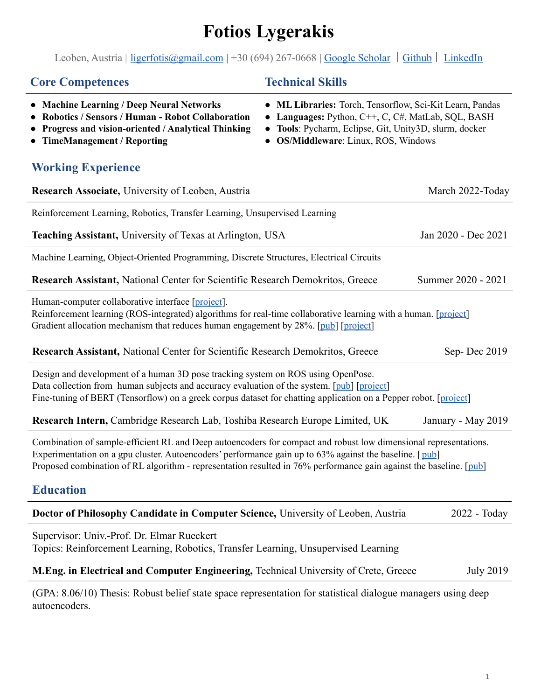# **Fotios Lygerakis**

Leoben, Austria | [ligerfotis@gmail.com](mailto:ligerfotis@gmail.com) | +30 (694) 267-0668 | [Google Scholar](https://scholar.google.com/citations?user=8ztHl5gAAAAJ&hl=en) | [Github](https://github.com/ligerfotis) | [LinkedIn](https://www.linkedin.com/in/fotios-lygerakis/)

# **Core Competences Technical Skills**

- **● Machine Learning / Deep Neural Networks**
- **● Robotics / Sensors / Human - Robot Collaboration**
- **● Progress and vision-oriented / Analytical Thinking**
- **● TimeManagement / Reporting**
- **ML Libraries:** Torch, Tensorflow, Sci-Kit Learn, Pandas
- **Languages:** Python, C++, C, C#, MatLab, SQL, BASH
- **Tools**: Pycharm, Eclipse, Git, Unity3D, slurm, docker
- **OS/Middleware**: Linux, ROS, Windows

| <b>Working Experience</b>                                                                                                                                                                                                                                                                                                                        |                     |
|--------------------------------------------------------------------------------------------------------------------------------------------------------------------------------------------------------------------------------------------------------------------------------------------------------------------------------------------------|---------------------|
| Research Associate, University of Leoben, Austria                                                                                                                                                                                                                                                                                                | March 2022-Today    |
| Reinforcement Learning, Robotics, Transfer Learning, Unsupervised Learning                                                                                                                                                                                                                                                                       |                     |
| Teaching Assistant, University of Texas at Arlington, USA                                                                                                                                                                                                                                                                                        | Jan 2020 - Dec 2021 |
| Machine Learning, Object-Oriented Programming, Discrete Structures, Electrical Circuits                                                                                                                                                                                                                                                          |                     |
| Research Assistant, National Center for Scientific Research Demokritos, Greece                                                                                                                                                                                                                                                                   | Summer 2020 - 2021  |
| Human-computer collaborative interface [project].<br>Reinforcement learning (ROS-integrated) algorithms for real-time collaborative learning with a human. [project]<br>Gradient allocation mechanism that reduces human engagement by 28%. [pub] [project]                                                                                      |                     |
| Research Assistant, National Center for Scientific Research Demokritos, Greece                                                                                                                                                                                                                                                                   | Sep-Dec 2019        |
| Design and development of a human 3D pose tracking system on ROS using OpenPose.<br>Data collection from human subjects and accuracy evaluation of the system. [pub] [project]<br>Fine-tuning of BERT (Tensorflow) on a greek corpus dataset for chatting application on a Pepper robot. [project]                                               |                     |
| Research Intern, Cambridge Research Lab, Toshiba Research Europe Limited, UK                                                                                                                                                                                                                                                                     | January - May 2019  |
| Combination of sample-efficient RL and Deep autoencoders for compact and robust low dimensional representations.<br>Experimentation on a gpu cluster. Autoencoders' performance gain up to 63% against the baseline. [pub]<br>Proposed combination of RL algorithm - representation resulted in 76% performance gain against the baseline. [pub] |                     |
| <b>Education</b>                                                                                                                                                                                                                                                                                                                                 |                     |
| Doctor of Philosophy Candidate in Computer Science, University of Leoben, Austria                                                                                                                                                                                                                                                                | 2022 - Today        |
| Supervisor: Univ.-Prof. Dr. Elmar Rueckert<br>Topics: Reinforcement Learning, Robotics, Transfer Learning, Unsupervised Learning                                                                                                                                                                                                                 |                     |
| M.Eng. in Electrical and Computer Engineering, Technical University of Crete, Greece                                                                                                                                                                                                                                                             | <b>July 2019</b>    |
| (GPA: 8.06/10) Thesis: Robust belief state space representation for statistical dialogue managers using deep<br>autoencoders.                                                                                                                                                                                                                    |                     |